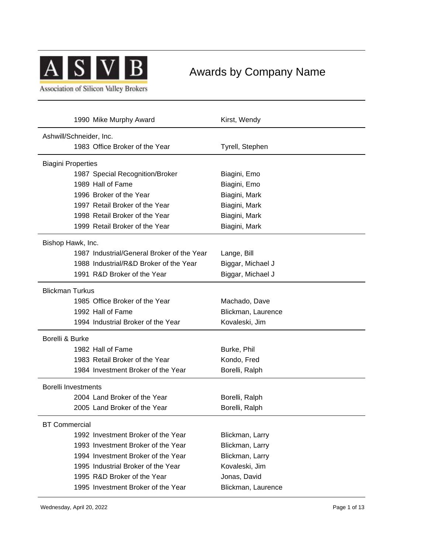

# Awards by Company Name

**Association of Silicon Valley Brokers** 

| 1990 Mike Murphy Award                     | Kirst, Wendy       |  |
|--------------------------------------------|--------------------|--|
| Ashwill/Schneider, Inc.                    |                    |  |
| 1983 Office Broker of the Year             | Tyrell, Stephen    |  |
| <b>Biagini Properties</b>                  |                    |  |
| 1987 Special Recognition/Broker            | Biagini, Emo       |  |
| 1989 Hall of Fame                          | Biagini, Emo       |  |
| 1996 Broker of the Year                    | Biagini, Mark      |  |
| 1997 Retail Broker of the Year             | Biagini, Mark      |  |
| 1998 Retail Broker of the Year             | Biagini, Mark      |  |
| 1999 Retail Broker of the Year             | Biagini, Mark      |  |
| Bishop Hawk, Inc.                          |                    |  |
| 1987 Industrial/General Broker of the Year | Lange, Bill        |  |
| 1988 Industrial/R&D Broker of the Year     | Biggar, Michael J  |  |
| 1991 R&D Broker of the Year                | Biggar, Michael J  |  |
| <b>Blickman Turkus</b>                     |                    |  |
| 1985 Office Broker of the Year             | Machado, Dave      |  |
| 1992 Hall of Fame                          | Blickman, Laurence |  |
| 1994 Industrial Broker of the Year         | Kovaleski, Jim     |  |
| Borelli & Burke                            |                    |  |
| 1982 Hall of Fame                          | Burke, Phil        |  |
| 1983 Retail Broker of the Year             | Kondo, Fred        |  |
| 1984 Investment Broker of the Year         | Borelli, Ralph     |  |
| <b>Borelli Investments</b>                 |                    |  |
| 2004 Land Broker of the Year               | Borelli, Ralph     |  |
| 2005 Land Broker of the Year               | Borelli, Ralph     |  |
| <b>BT Commercial</b>                       |                    |  |
| 1992 Investment Broker of the Year         | Blickman, Larry    |  |
| 1993 Investment Broker of the Year         | Blickman, Larry    |  |
| 1994 Investment Broker of the Year         | Blickman, Larry    |  |
| 1995 Industrial Broker of the Year         | Kovaleski, Jim     |  |
| 1995 R&D Broker of the Year                | Jonas, David       |  |
| 1995 Investment Broker of the Year         | Blickman, Laurence |  |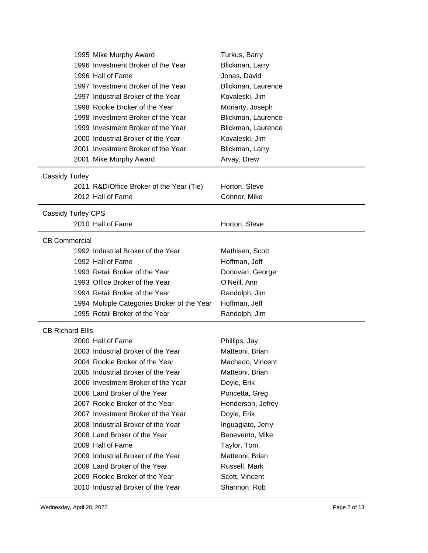| 1995 Mike Murphy Award                      | Turkus, Barry      |
|---------------------------------------------|--------------------|
| 1996 Investment Broker of the Year          | Blickman, Larry    |
| 1996 Hall of Fame                           | Jonas, David       |
| 1997 Investment Broker of the Year          | Blickman, Laurence |
| 1997 Industrial Broker of the Year          | Kovaleski, Jim     |
| 1998 Rookie Broker of the Year              | Moriarty, Joseph   |
| 1998 Investment Broker of the Year          | Blickman, Laurence |
| 1999 Investment Broker of the Year          | Blickman, Laurence |
| 2000 Industrial Broker of the Year          | Kovaleski, Jim     |
| 2001 Investment Broker of the Year          | Blickman, Larry    |
| 2001 Mike Murphy Award                      | Arvay, Drew        |
| <b>Cassidy Turley</b>                       |                    |
| 2011 R&D/Office Broker of the Year (Tie)    | Horton, Steve      |
| 2012 Hall of Fame                           | Connor, Mike       |
| <b>Cassidy Turley CPS</b>                   |                    |
| 2010 Hall of Fame                           | Horton, Steve      |
| <b>CB Commercial</b>                        |                    |
| 1992 Industrial Broker of the Year          | Mathisen, Scott    |
| 1992 Hall of Fame                           | Hoffman, Jeff      |
| 1993 Retail Broker of the Year              | Donovan, George    |
| 1993 Office Broker of the Year              | O'Neill, Ann       |
| 1994 Retail Broker of the Year              | Randolph, Jim      |
| 1994 Multiple Categories Broker of the Year | Hoffman, Jeff      |
| 1995 Retail Broker of the Year              | Randolph, Jim      |
| <b>CB Richard Ellis</b>                     |                    |
| 2000 Hall of Fame                           | Phillips, Jay      |
| 2003 Industrial Broker of the Year          | Matteoni, Brian    |
| 2004 Rookie Broker of the Year              | Machado, Vincent   |
| 2005 Industrial Broker of the Year          | Matteoni, Brian    |
| 2006 Investment Broker of the Year          | Doyle, Erik        |
| 2006 Land Broker of the Year                | Poncetta, Greg     |
| 2007 Rookie Broker of the Year              | Henderson, Jefrey  |
| 2007 Investment Broker of the Year          | Doyle, Erik        |
| 2008 Industrial Broker of the Year          | Inguagiato, Jerry  |
| 2008 Land Broker of the Year                | Benevento, Mike    |
| 2009 Hall of Fame                           | Taylor, Tom        |
| 2009 Industrial Broker of the Year          | Matteoni, Brian    |
| 2009 Land Broker of the Year                | Russell, Mark      |
| 2009 Rookie Broker of the Year              | Scott, Vincent     |
| 2010 Industrial Broker of the Year          | Shannon, Rob       |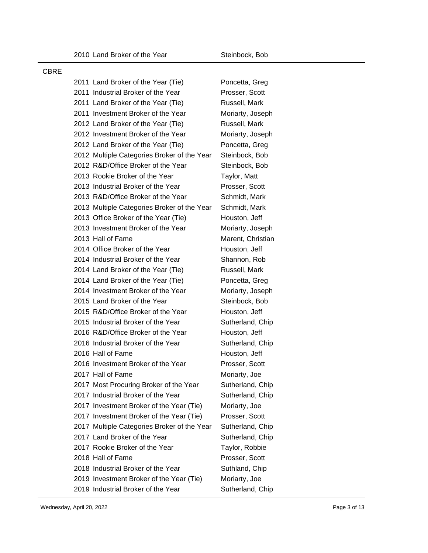#### CBRE

|  | 2011 Land Broker of the Year (Tie)          | Poncetta, Greg    |
|--|---------------------------------------------|-------------------|
|  | 2011 Industrial Broker of the Year          | Prosser, Scott    |
|  | 2011 Land Broker of the Year (Tie)          | Russell, Mark     |
|  | 2011 Investment Broker of the Year          | Moriarty, Joseph  |
|  | 2012 Land Broker of the Year (Tie)          | Russell, Mark     |
|  | 2012 Investment Broker of the Year          | Moriarty, Joseph  |
|  | 2012 Land Broker of the Year (Tie)          | Poncetta, Greg    |
|  | 2012 Multiple Categories Broker of the Year | Steinbock, Bob    |
|  | 2012 R&D/Office Broker of the Year          | Steinbock, Bob    |
|  | 2013 Rookie Broker of the Year              | Taylor, Matt      |
|  | 2013 Industrial Broker of the Year          | Prosser, Scott    |
|  | 2013 R&D/Office Broker of the Year          | Schmidt, Mark     |
|  | 2013 Multiple Categories Broker of the Year | Schmidt, Mark     |
|  | 2013 Office Broker of the Year (Tie)        | Houston, Jeff     |
|  | 2013 Investment Broker of the Year          | Moriarty, Joseph  |
|  | 2013 Hall of Fame                           | Marent, Christian |
|  | 2014 Office Broker of the Year              | Houston, Jeff     |
|  | 2014 Industrial Broker of the Year          | Shannon, Rob      |
|  | 2014 Land Broker of the Year (Tie)          | Russell, Mark     |
|  | 2014 Land Broker of the Year (Tie)          | Poncetta, Greg    |
|  | 2014 Investment Broker of the Year          | Moriarty, Joseph  |
|  | 2015 Land Broker of the Year                | Steinbock, Bob    |
|  | 2015 R&D/Office Broker of the Year          | Houston, Jeff     |
|  | 2015 Industrial Broker of the Year          | Sutherland, Chip  |
|  | 2016 R&D/Office Broker of the Year          | Houston, Jeff     |
|  | 2016 Industrial Broker of the Year          | Sutherland, Chip  |
|  | 2016 Hall of Fame                           | Houston, Jeff     |
|  | 2016 Investment Broker of the Year          | Prosser, Scott    |
|  | 2017 Hall of Fame                           | Moriarty, Joe     |
|  | 2017 Most Procuring Broker of the Year      | Sutherland, Chip  |
|  | 2017 Industrial Broker of the Year          | Sutherland, Chip  |
|  | 2017 Investment Broker of the Year (Tie)    | Moriarty, Joe     |
|  | 2017 Investment Broker of the Year (Tie)    | Prosser, Scott    |
|  | 2017 Multiple Categories Broker of the Year | Sutherland, Chip  |
|  | 2017 Land Broker of the Year                | Sutherland, Chip  |
|  | 2017 Rookie Broker of the Year              | Taylor, Robbie    |
|  | 2018 Hall of Fame                           | Prosser, Scott    |
|  | 2018 Industrial Broker of the Year          | Suthland, Chip    |
|  | 2019 Investment Broker of the Year (Tie)    | Moriarty, Joe     |
|  | 2019 Industrial Broker of the Year          | Sutherland, Chip  |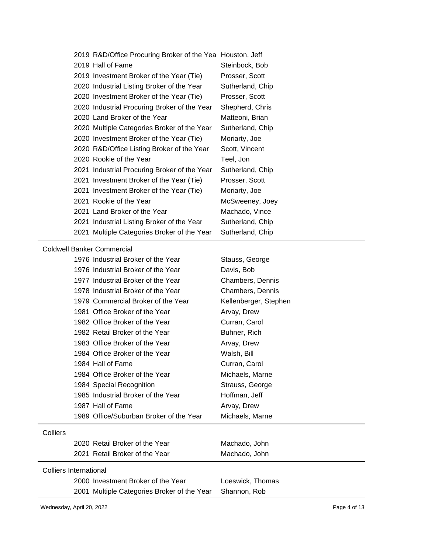| 2019 R&D/Office Procuring Broker of the Yea Houston, Jeff |                  |
|-----------------------------------------------------------|------------------|
| 2019 Hall of Fame                                         | Steinbock, Bob   |
| 2019 Investment Broker of the Year (Tie)                  | Prosser, Scott   |
| 2020 Industrial Listing Broker of the Year                | Sutherland, Chip |
| 2020 Investment Broker of the Year (Tie)                  | Prosser, Scott   |
| 2020 Industrial Procuring Broker of the Year              | Shepherd, Chris  |
| 2020 Land Broker of the Year                              | Matteoni, Brian  |
| 2020 Multiple Categories Broker of the Year               | Sutherland, Chip |
| 2020 Investment Broker of the Year (Tie)                  | Moriarty, Joe    |
| 2020 R&D/Office Listing Broker of the Year                | Scott, Vincent   |
| 2020 Rookie of the Year                                   | Teel, Jon        |
| 2021 Industrial Procuring Broker of the Year              | Sutherland, Chip |
| 2021 Investment Broker of the Year (Tie)                  | Prosser, Scott   |
| 2021 Investment Broker of the Year (Tie)                  | Moriarty, Joe    |
| 2021 Rookie of the Year                                   | McSweeney, Joey  |
| 2021 Land Broker of the Year                              | Machado, Vince   |
| 2021 Industrial Listing Broker of the Year                | Sutherland, Chip |
| 2021 Multiple Categories Broker of the Year               | Sutherland, Chip |

#### Coldwell Banker Commercial

|                               | 1976 Industrial Broker of the Year          | Stauss, George        |
|-------------------------------|---------------------------------------------|-----------------------|
|                               | 1976 Industrial Broker of the Year          | Davis, Bob            |
|                               | 1977 Industrial Broker of the Year          | Chambers, Dennis      |
|                               | 1978 Industrial Broker of the Year          | Chambers, Dennis      |
|                               | 1979 Commercial Broker of the Year          | Kellenberger, Stephen |
|                               | 1981 Office Broker of the Year              | Arvay, Drew           |
|                               | 1982 Office Broker of the Year              | Curran, Carol         |
|                               | 1982 Retail Broker of the Year              | Buhner, Rich          |
|                               | 1983 Office Broker of the Year              | Arvay, Drew           |
|                               | 1984 Office Broker of the Year              | Walsh, Bill           |
|                               | 1984 Hall of Fame                           | Curran, Carol         |
|                               | 1984 Office Broker of the Year              | Michaels, Marne       |
|                               | 1984 Special Recognition                    | Strauss, George       |
|                               | 1985 Industrial Broker of the Year          | Hoffman, Jeff         |
|                               | 1987 Hall of Fame                           | Arvay, Drew           |
|                               | 1989 Office/Suburban Broker of the Year     | Michaels, Marne       |
| Colliers                      |                                             |                       |
|                               | 2020 Retail Broker of the Year              | Machado, John         |
|                               | 2021 Retail Broker of the Year              | Machado, John         |
| <b>Colliers International</b> |                                             |                       |
|                               | 2000 Investment Broker of the Year          | Loeswick, Thomas      |
|                               | 2001 Multiple Categories Broker of the Year | Shannon, Rob          |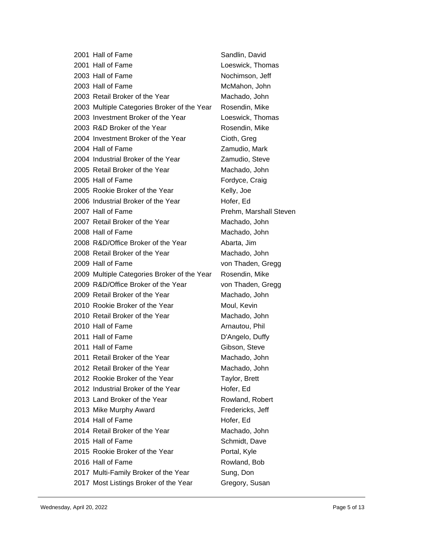|  | 2001 Hall of Fame                           | Sandlin, David         |
|--|---------------------------------------------|------------------------|
|  | 2001 Hall of Fame                           | Loeswick, Thomas       |
|  | 2003 Hall of Fame                           | Nochimson, Jeff        |
|  | 2003 Hall of Fame                           | McMahon, John          |
|  | 2003 Retail Broker of the Year              | Machado, John          |
|  | 2003 Multiple Categories Broker of the Year | Rosendin, Mike         |
|  | 2003 Investment Broker of the Year          | Loeswick, Thomas       |
|  | 2003 R&D Broker of the Year                 | Rosendin, Mike         |
|  | 2004 Investment Broker of the Year          | Cioth, Greg            |
|  | 2004 Hall of Fame                           | Zamudio, Mark          |
|  | 2004 Industrial Broker of the Year          | Zamudio, Steve         |
|  | 2005 Retail Broker of the Year              | Machado, John          |
|  | 2005 Hall of Fame                           | Fordyce, Craig         |
|  | 2005 Rookie Broker of the Year              | Kelly, Joe             |
|  | 2006 Industrial Broker of the Year          | Hofer, Ed              |
|  | 2007 Hall of Fame                           | Prehm, Marshall Steven |
|  | 2007 Retail Broker of the Year              | Machado, John          |
|  | 2008 Hall of Fame                           | Machado, John          |
|  | 2008 R&D/Office Broker of the Year          | Abarta, Jim            |
|  | 2008 Retail Broker of the Year              | Machado, John          |
|  | 2009 Hall of Fame                           | von Thaden, Gregg      |
|  | 2009 Multiple Categories Broker of the Year | Rosendin, Mike         |
|  | 2009 R&D/Office Broker of the Year          | von Thaden, Gregg      |
|  | 2009 Retail Broker of the Year              | Machado, John          |
|  | 2010 Rookie Broker of the Year              | Moul, Kevin            |
|  | 2010 Retail Broker of the Year              | Machado, John          |
|  | 2010 Hall of Fame                           | Arnautou, Phil         |
|  | 2011 Hall of Fame                           | D'Angelo, Duffy        |
|  | 2011 Hall of Fame                           | Gibson, Steve          |
|  | 2011 Retail Broker of the Year              | Machado, John          |
|  | 2012 Retail Broker of the Year              | Machado, John          |
|  | 2012 Rookie Broker of the Year              | Taylor, Brett          |
|  | 2012 Industrial Broker of the Year          | Hofer, Ed              |
|  | 2013 Land Broker of the Year                | Rowland, Robert        |
|  | 2013 Mike Murphy Award                      | Fredericks, Jeff       |
|  | 2014 Hall of Fame                           | Hofer, Ed              |
|  | 2014 Retail Broker of the Year              | Machado, John          |
|  | 2015 Hall of Fame                           | Schmidt, Dave          |
|  | 2015 Rookie Broker of the Year              | Portal, Kyle           |
|  | 2016 Hall of Fame                           | Rowland, Bob           |
|  | 2017 Multi-Family Broker of the Year        | Sung, Don              |
|  | 2017 Most Listings Broker of the Year       | Gregory, Susan         |
|  |                                             |                        |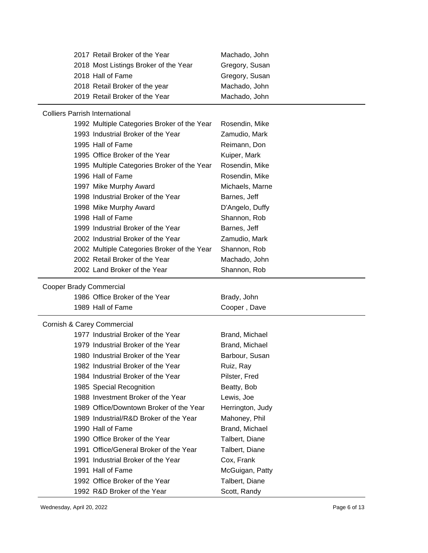| 2017 Retail Broker of the Year        |                                             | Machado, John    |
|---------------------------------------|---------------------------------------------|------------------|
|                                       | 2018 Most Listings Broker of the Year       | Gregory, Susan   |
| 2018 Hall of Fame                     |                                             | Gregory, Susan   |
| 2018 Retail Broker of the year        |                                             | Machado, John    |
| 2019 Retail Broker of the Year        |                                             | Machado, John    |
|                                       |                                             |                  |
| <b>Colliers Parrish International</b> |                                             |                  |
|                                       | 1992 Multiple Categories Broker of the Year | Rosendin, Mike   |
| 1993 Industrial Broker of the Year    |                                             | Zamudio, Mark    |
| 1995 Hall of Fame                     |                                             | Reimann, Don     |
| 1995 Office Broker of the Year        |                                             | Kuiper, Mark     |
|                                       | 1995 Multiple Categories Broker of the Year | Rosendin, Mike   |
| 1996 Hall of Fame                     |                                             | Rosendin, Mike   |
| 1997 Mike Murphy Award                |                                             | Michaels, Marne  |
| 1998 Industrial Broker of the Year    |                                             | Barnes, Jeff     |
| 1998 Mike Murphy Award                |                                             | D'Angelo, Duffy  |
| 1998 Hall of Fame                     |                                             | Shannon, Rob     |
| 1999 Industrial Broker of the Year    |                                             | Barnes, Jeff     |
| 2002 Industrial Broker of the Year    |                                             | Zamudio, Mark    |
|                                       | 2002 Multiple Categories Broker of the Year | Shannon, Rob     |
| 2002 Retail Broker of the Year        |                                             | Machado, John    |
| 2002 Land Broker of the Year          |                                             | Shannon, Rob     |
|                                       |                                             |                  |
|                                       |                                             |                  |
| Cooper Brady Commercial               |                                             |                  |
| 1986 Office Broker of the Year        |                                             | Brady, John      |
| 1989 Hall of Fame                     |                                             | Cooper, Dave     |
| Cornish & Carey Commercial            |                                             |                  |
| 1977 Industrial Broker of the Year    |                                             | Brand, Michael   |
| 1979 Industrial Broker of the Year    |                                             | Brand, Michael   |
| 1980 Industrial Broker of the Year    |                                             | Barbour, Susan   |
| 1982 Industrial Broker of the Year    |                                             | Ruiz, Ray        |
| 1984 Industrial Broker of the Year    |                                             | Pilster, Fred    |
| 1985 Special Recognition              |                                             | Beatty, Bob      |
| 1988 Investment Broker of the Year    |                                             | Lewis, Joe       |
|                                       | 1989 Office/Downtown Broker of the Year     | Herrington, Judy |
|                                       | 1989 Industrial/R&D Broker of the Year      | Mahoney, Phil    |
| 1990 Hall of Fame                     |                                             | Brand, Michael   |
| 1990 Office Broker of the Year        |                                             | Talbert, Diane   |
|                                       | 1991 Office/General Broker of the Year      | Talbert, Diane   |
| 1991 Industrial Broker of the Year    |                                             | Cox, Frank       |
| 1991 Hall of Fame                     |                                             | McGuigan, Patty  |
| 1992 Office Broker of the Year        |                                             | Talbert, Diane   |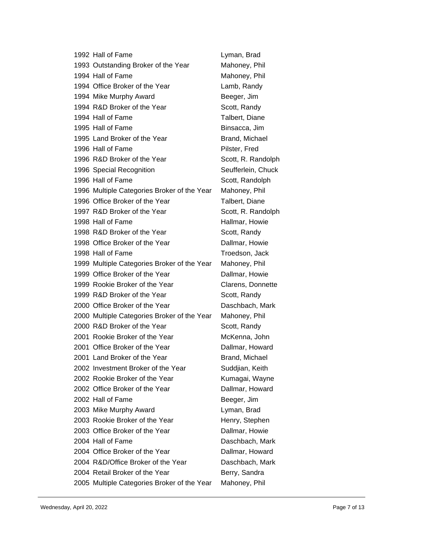| 1992 Hall of Fame                           | Lyman, Brad        |
|---------------------------------------------|--------------------|
| 1993 Outstanding Broker of the Year         | Mahoney, Phil      |
| 1994 Hall of Fame                           | Mahoney, Phil      |
| 1994 Office Broker of the Year              | Lamb, Randy        |
| 1994 Mike Murphy Award                      | Beeger, Jim        |
| 1994 R&D Broker of the Year                 | Scott, Randy       |
| 1994 Hall of Fame                           | Talbert, Diane     |
| 1995 Hall of Fame                           | Binsacca, Jim      |
| 1995 Land Broker of the Year                | Brand, Michael     |
| 1996 Hall of Fame                           | Pilster, Fred      |
| 1996 R&D Broker of the Year                 | Scott, R. Randolph |
| 1996 Special Recognition                    | Seufferlein, Chuck |
| 1996 Hall of Fame                           | Scott, Randolph    |
| 1996 Multiple Categories Broker of the Year | Mahoney, Phil      |
| 1996 Office Broker of the Year              | Talbert, Diane     |
| 1997 R&D Broker of the Year                 | Scott, R. Randolph |
| 1998 Hall of Fame                           | Hallmar, Howie     |
| 1998 R&D Broker of the Year                 | Scott, Randy       |
| 1998 Office Broker of the Year              | Dallmar, Howie     |
| 1998 Hall of Fame                           | Troedson, Jack     |
| 1999 Multiple Categories Broker of the Year | Mahoney, Phil      |
| 1999 Office Broker of the Year              | Dallmar, Howie     |
| 1999 Rookie Broker of the Year              | Clarens, Donnette  |
| 1999 R&D Broker of the Year                 | Scott, Randy       |
| 2000 Office Broker of the Year              | Daschbach, Mark    |
| 2000 Multiple Categories Broker of the Year | Mahoney, Phil      |
| 2000 R&D Broker of the Year                 | Scott, Randy       |
| 2001 Rookie Broker of the Year              | McKenna, John      |
| 2001 Office Broker of the Year              | Dallmar, Howard    |
| 2001 Land Broker of the Year                | Brand, Michael     |
| 2002 Investment Broker of the Year          | Suddjian, Keith    |
| 2002 Rookie Broker of the Year              | Kumagai, Wayne     |
| 2002 Office Broker of the Year              | Dallmar, Howard    |
| 2002 Hall of Fame                           | Beeger, Jim        |
| 2003 Mike Murphy Award                      | Lyman, Brad        |
| 2003 Rookie Broker of the Year              | Henry, Stephen     |
| 2003 Office Broker of the Year              | Dallmar, Howie     |
| 2004 Hall of Fame                           | Daschbach, Mark    |
| 2004 Office Broker of the Year              | Dallmar, Howard    |
| 2004 R&D/Office Broker of the Year          | Daschbach, Mark    |
| 2004 Retail Broker of the Year              | Berry, Sandra      |
| 2005 Multiple Categories Broker of the Year | Mahoney, Phil      |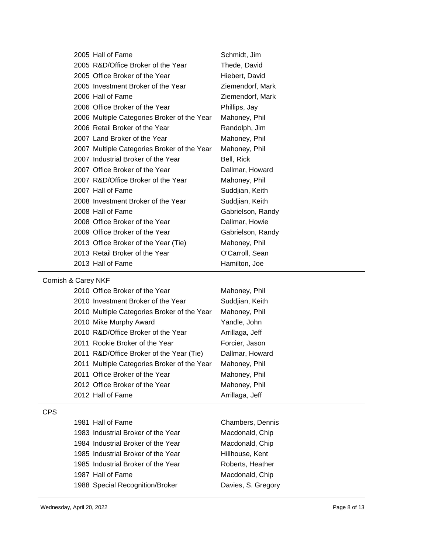| 2005 Hall of Fame                           | Schmidt, Jim      |
|---------------------------------------------|-------------------|
| 2005 R&D/Office Broker of the Year          | Thede, David      |
| 2005 Office Broker of the Year              | Hiebert, David    |
| 2005 Investment Broker of the Year          | Ziemendorf, Mark  |
| 2006 Hall of Fame                           | Ziemendorf, Mark  |
| 2006 Office Broker of the Year              | Phillips, Jay     |
| 2006 Multiple Categories Broker of the Year | Mahoney, Phil     |
| 2006 Retail Broker of the Year              | Randolph, Jim     |
| 2007 Land Broker of the Year                | Mahoney, Phil     |
| 2007 Multiple Categories Broker of the Year | Mahoney, Phil     |
| 2007 Industrial Broker of the Year          | Bell, Rick        |
| 2007 Office Broker of the Year              | Dallmar, Howard   |
| 2007 R&D/Office Broker of the Year          | Mahoney, Phil     |
| 2007 Hall of Fame                           | Suddjian, Keith   |
| 2008 Investment Broker of the Year          | Suddjian, Keith   |
| 2008 Hall of Fame                           | Gabrielson, Randy |
| 2008 Office Broker of the Year              | Dallmar, Howie    |
| 2009 Office Broker of the Year              | Gabrielson, Randy |
| 2013 Office Broker of the Year (Tie)        | Mahoney, Phil     |
| 2013 Retail Broker of the Year              | O'Carroll, Sean   |
| 2013 Hall of Fame                           | Hamilton, Joe     |

## Cornish & Carey NKF

| 2010 Office Broker of the Year              | Mahoney, Phil   |
|---------------------------------------------|-----------------|
| 2010 Investment Broker of the Year          | Suddjian, Keith |
| 2010 Multiple Categories Broker of the Year | Mahoney, Phil   |
| 2010 Mike Murphy Award                      | Yandle, John    |
| 2010 R&D/Office Broker of the Year          | Arrillaga, Jeff |
| 2011 Rookie Broker of the Year              | Forcier, Jason  |
| 2011 R&D/Office Broker of the Year (Tie)    | Dallmar, Howard |
| 2011 Multiple Categories Broker of the Year | Mahoney, Phil   |
| 2011 Office Broker of the Year              | Mahoney, Phil   |
| 2012 Office Broker of the Year              | Mahoney, Phil   |
| 2012 Hall of Fame                           | Arrillaga, Jeff |

### CPS

| 1981 Hall of Fame                  | Chambers, Dennis   |
|------------------------------------|--------------------|
| 1983 Industrial Broker of the Year | Macdonald, Chip    |
| 1984 Industrial Broker of the Year | Macdonald, Chip    |
| 1985 Industrial Broker of the Year | Hillhouse, Kent    |
| 1985 Industrial Broker of the Year | Roberts, Heather   |
| 1987 Hall of Fame                  | Macdonald, Chip    |
| 1988 Special Recognition/Broker    | Davies, S. Gregory |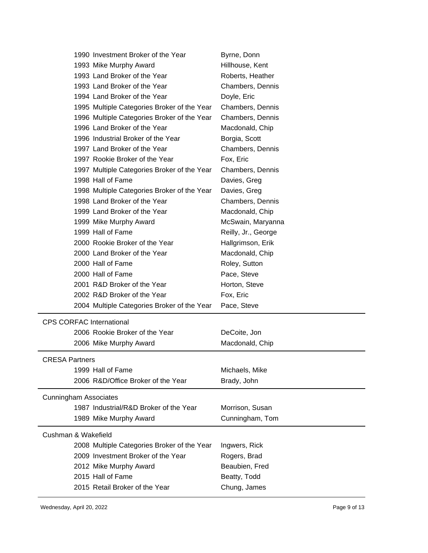|                       | 1990 Investment Broker of the Year          | Byrne, Donn         |
|-----------------------|---------------------------------------------|---------------------|
|                       | 1993 Mike Murphy Award                      | Hillhouse, Kent     |
|                       | 1993 Land Broker of the Year                | Roberts, Heather    |
|                       | 1993 Land Broker of the Year                | Chambers, Dennis    |
|                       | 1994 Land Broker of the Year                | Doyle, Eric         |
|                       | 1995 Multiple Categories Broker of the Year | Chambers, Dennis    |
|                       | 1996 Multiple Categories Broker of the Year | Chambers, Dennis    |
|                       | 1996 Land Broker of the Year                | Macdonald, Chip     |
|                       | 1996 Industrial Broker of the Year          | Borgia, Scott       |
|                       | 1997 Land Broker of the Year                | Chambers, Dennis    |
|                       | 1997 Rookie Broker of the Year              | Fox, Eric           |
|                       | 1997 Multiple Categories Broker of the Year | Chambers, Dennis    |
|                       | 1998 Hall of Fame                           | Davies, Greg        |
|                       | 1998 Multiple Categories Broker of the Year | Davies, Greg        |
|                       | 1998 Land Broker of the Year                | Chambers, Dennis    |
|                       | 1999 Land Broker of the Year                | Macdonald, Chip     |
|                       | 1999 Mike Murphy Award                      | McSwain, Maryanna   |
|                       | 1999 Hall of Fame                           | Reilly, Jr., George |
|                       | 2000 Rookie Broker of the Year              | Hallgrimson, Erik   |
|                       | 2000 Land Broker of the Year                | Macdonald, Chip     |
|                       | 2000 Hall of Fame                           | Roley, Sutton       |
|                       | 2000 Hall of Fame                           | Pace, Steve         |
|                       | 2001 R&D Broker of the Year                 | Horton, Steve       |
|                       | 2002 R&D Broker of the Year                 | Fox, Eric           |
|                       | 2004 Multiple Categories Broker of the Year | Pace, Steve         |
|                       | <b>CPS CORFAC International</b>             |                     |
|                       | 2006 Rookie Broker of the Year              | DeCoite, Jon        |
|                       | 2006 Mike Murphy Award                      | Macdonald, Chip     |
|                       |                                             |                     |
| <b>CRESA Partners</b> |                                             |                     |
|                       | 1999 Hall of Fame                           | Michaels, Mike      |
|                       | 2006 R&D/Office Broker of the Year          | Brady, John         |
|                       | <b>Cunningham Associates</b>                |                     |
|                       | 1987 Industrial/R&D Broker of the Year      | Morrison, Susan     |
|                       | 1989 Mike Murphy Award                      | Cunningham, Tom     |
|                       | Cushman & Wakefield                         |                     |
|                       | 2008 Multiple Categories Broker of the Year | Ingwers, Rick       |
|                       | 2009 Investment Broker of the Year          | Rogers, Brad        |
|                       | 2012 Mike Murphy Award                      | Beaubien, Fred      |
|                       | 2015 Hall of Fame                           | Beatty, Todd        |
|                       | 2015 Retail Broker of the Year              | Chung, James        |
|                       |                                             |                     |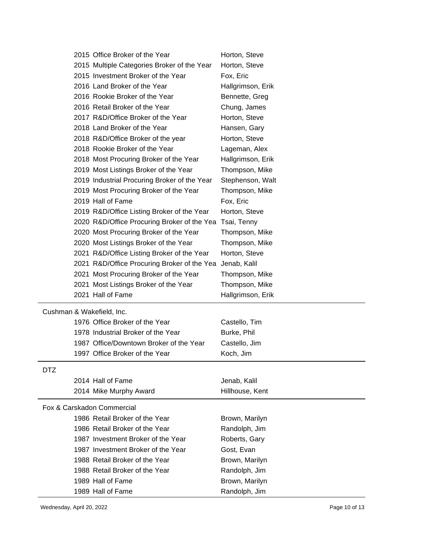| Horton, Steve<br>2015 Multiple Categories Broker of the Year<br>2015 Investment Broker of the Year<br>Fox, Eric<br>2016 Land Broker of the Year<br>Hallgrimson, Erik<br>2016 Rookie Broker of the Year<br>Bennette, Greg<br>2016 Retail Broker of the Year<br>Chung, James<br>2017 R&D/Office Broker of the Year<br>Horton, Steve<br>2018 Land Broker of the Year<br>Hansen, Gary<br>2018 R&D/Office Broker of the year<br>Horton, Steve<br>2018 Rookie Broker of the Year<br>Lageman, Alex<br>2018 Most Procuring Broker of the Year<br>Hallgrimson, Erik<br>2019 Most Listings Broker of the Year<br>Thompson, Mike<br>2019 Industrial Procuring Broker of the Year<br>Stephenson, Walt<br>2019 Most Procuring Broker of the Year<br>Thompson, Mike<br>2019 Hall of Fame<br>Fox, Eric<br>2019 R&D/Office Listing Broker of the Year<br>Horton, Steve<br>2020 R&D/Office Procuring Broker of the Yea<br>Tsai, Tenny<br>2020 Most Procuring Broker of the Year<br>Thompson, Mike<br>2020 Most Listings Broker of the Year<br>Thompson, Mike<br>2021 R&D/Office Listing Broker of the Year<br>Horton, Steve<br>2021 R&D/Office Procuring Broker of the Yea<br>Jenab, Kalil<br>2021 Most Procuring Broker of the Year<br>Thompson, Mike<br>2021 Most Listings Broker of the Year<br>Thompson, Mike<br>2021 Hall of Fame<br>Hallgrimson, Erik<br>Cushman & Wakefield, Inc.<br>1976 Office Broker of the Year<br>Castello, Tim<br>1978 Industrial Broker of the Year<br>Burke, Phil<br>1987 Office/Downtown Broker of the Year<br>Castello, Jim<br>1997 Office Broker of the Year<br>Koch, Jim<br>DTZ<br>2014 Hall of Fame<br>Jenab, Kalil<br>2014 Mike Murphy Award<br>Hillhouse, Kent<br>Fox & Carskadon Commercial<br>1986 Retail Broker of the Year<br>Brown, Marilyn<br>1986 Retail Broker of the Year<br>Randolph, Jim<br>1987 Investment Broker of the Year<br>Roberts, Gary<br>1987 Investment Broker of the Year<br>Gost, Evan<br>1988 Retail Broker of the Year<br>Brown, Marilyn<br>1988 Retail Broker of the Year<br>Randolph, Jim<br>1989 Hall of Fame<br>Brown, Marilyn<br>1989 Hall of Fame<br>Randolph, Jim | 2015 Office Broker of the Year | Horton, Steve |
|-------------------------------------------------------------------------------------------------------------------------------------------------------------------------------------------------------------------------------------------------------------------------------------------------------------------------------------------------------------------------------------------------------------------------------------------------------------------------------------------------------------------------------------------------------------------------------------------------------------------------------------------------------------------------------------------------------------------------------------------------------------------------------------------------------------------------------------------------------------------------------------------------------------------------------------------------------------------------------------------------------------------------------------------------------------------------------------------------------------------------------------------------------------------------------------------------------------------------------------------------------------------------------------------------------------------------------------------------------------------------------------------------------------------------------------------------------------------------------------------------------------------------------------------------------------------------------------------------------------------------------------------------------------------------------------------------------------------------------------------------------------------------------------------------------------------------------------------------------------------------------------------------------------------------------------------------------------------------------------------------------------------------------------------------------------------------------------------------------------------------|--------------------------------|---------------|
|                                                                                                                                                                                                                                                                                                                                                                                                                                                                                                                                                                                                                                                                                                                                                                                                                                                                                                                                                                                                                                                                                                                                                                                                                                                                                                                                                                                                                                                                                                                                                                                                                                                                                                                                                                                                                                                                                                                                                                                                                                                                                                                         |                                |               |
|                                                                                                                                                                                                                                                                                                                                                                                                                                                                                                                                                                                                                                                                                                                                                                                                                                                                                                                                                                                                                                                                                                                                                                                                                                                                                                                                                                                                                                                                                                                                                                                                                                                                                                                                                                                                                                                                                                                                                                                                                                                                                                                         |                                |               |
|                                                                                                                                                                                                                                                                                                                                                                                                                                                                                                                                                                                                                                                                                                                                                                                                                                                                                                                                                                                                                                                                                                                                                                                                                                                                                                                                                                                                                                                                                                                                                                                                                                                                                                                                                                                                                                                                                                                                                                                                                                                                                                                         |                                |               |
|                                                                                                                                                                                                                                                                                                                                                                                                                                                                                                                                                                                                                                                                                                                                                                                                                                                                                                                                                                                                                                                                                                                                                                                                                                                                                                                                                                                                                                                                                                                                                                                                                                                                                                                                                                                                                                                                                                                                                                                                                                                                                                                         |                                |               |
|                                                                                                                                                                                                                                                                                                                                                                                                                                                                                                                                                                                                                                                                                                                                                                                                                                                                                                                                                                                                                                                                                                                                                                                                                                                                                                                                                                                                                                                                                                                                                                                                                                                                                                                                                                                                                                                                                                                                                                                                                                                                                                                         |                                |               |
|                                                                                                                                                                                                                                                                                                                                                                                                                                                                                                                                                                                                                                                                                                                                                                                                                                                                                                                                                                                                                                                                                                                                                                                                                                                                                                                                                                                                                                                                                                                                                                                                                                                                                                                                                                                                                                                                                                                                                                                                                                                                                                                         |                                |               |
|                                                                                                                                                                                                                                                                                                                                                                                                                                                                                                                                                                                                                                                                                                                                                                                                                                                                                                                                                                                                                                                                                                                                                                                                                                                                                                                                                                                                                                                                                                                                                                                                                                                                                                                                                                                                                                                                                                                                                                                                                                                                                                                         |                                |               |
|                                                                                                                                                                                                                                                                                                                                                                                                                                                                                                                                                                                                                                                                                                                                                                                                                                                                                                                                                                                                                                                                                                                                                                                                                                                                                                                                                                                                                                                                                                                                                                                                                                                                                                                                                                                                                                                                                                                                                                                                                                                                                                                         |                                |               |
|                                                                                                                                                                                                                                                                                                                                                                                                                                                                                                                                                                                                                                                                                                                                                                                                                                                                                                                                                                                                                                                                                                                                                                                                                                                                                                                                                                                                                                                                                                                                                                                                                                                                                                                                                                                                                                                                                                                                                                                                                                                                                                                         |                                |               |
|                                                                                                                                                                                                                                                                                                                                                                                                                                                                                                                                                                                                                                                                                                                                                                                                                                                                                                                                                                                                                                                                                                                                                                                                                                                                                                                                                                                                                                                                                                                                                                                                                                                                                                                                                                                                                                                                                                                                                                                                                                                                                                                         |                                |               |
|                                                                                                                                                                                                                                                                                                                                                                                                                                                                                                                                                                                                                                                                                                                                                                                                                                                                                                                                                                                                                                                                                                                                                                                                                                                                                                                                                                                                                                                                                                                                                                                                                                                                                                                                                                                                                                                                                                                                                                                                                                                                                                                         |                                |               |
|                                                                                                                                                                                                                                                                                                                                                                                                                                                                                                                                                                                                                                                                                                                                                                                                                                                                                                                                                                                                                                                                                                                                                                                                                                                                                                                                                                                                                                                                                                                                                                                                                                                                                                                                                                                                                                                                                                                                                                                                                                                                                                                         |                                |               |
|                                                                                                                                                                                                                                                                                                                                                                                                                                                                                                                                                                                                                                                                                                                                                                                                                                                                                                                                                                                                                                                                                                                                                                                                                                                                                                                                                                                                                                                                                                                                                                                                                                                                                                                                                                                                                                                                                                                                                                                                                                                                                                                         |                                |               |
|                                                                                                                                                                                                                                                                                                                                                                                                                                                                                                                                                                                                                                                                                                                                                                                                                                                                                                                                                                                                                                                                                                                                                                                                                                                                                                                                                                                                                                                                                                                                                                                                                                                                                                                                                                                                                                                                                                                                                                                                                                                                                                                         |                                |               |
|                                                                                                                                                                                                                                                                                                                                                                                                                                                                                                                                                                                                                                                                                                                                                                                                                                                                                                                                                                                                                                                                                                                                                                                                                                                                                                                                                                                                                                                                                                                                                                                                                                                                                                                                                                                                                                                                                                                                                                                                                                                                                                                         |                                |               |
|                                                                                                                                                                                                                                                                                                                                                                                                                                                                                                                                                                                                                                                                                                                                                                                                                                                                                                                                                                                                                                                                                                                                                                                                                                                                                                                                                                                                                                                                                                                                                                                                                                                                                                                                                                                                                                                                                                                                                                                                                                                                                                                         |                                |               |
|                                                                                                                                                                                                                                                                                                                                                                                                                                                                                                                                                                                                                                                                                                                                                                                                                                                                                                                                                                                                                                                                                                                                                                                                                                                                                                                                                                                                                                                                                                                                                                                                                                                                                                                                                                                                                                                                                                                                                                                                                                                                                                                         |                                |               |
|                                                                                                                                                                                                                                                                                                                                                                                                                                                                                                                                                                                                                                                                                                                                                                                                                                                                                                                                                                                                                                                                                                                                                                                                                                                                                                                                                                                                                                                                                                                                                                                                                                                                                                                                                                                                                                                                                                                                                                                                                                                                                                                         |                                |               |
|                                                                                                                                                                                                                                                                                                                                                                                                                                                                                                                                                                                                                                                                                                                                                                                                                                                                                                                                                                                                                                                                                                                                                                                                                                                                                                                                                                                                                                                                                                                                                                                                                                                                                                                                                                                                                                                                                                                                                                                                                                                                                                                         |                                |               |
|                                                                                                                                                                                                                                                                                                                                                                                                                                                                                                                                                                                                                                                                                                                                                                                                                                                                                                                                                                                                                                                                                                                                                                                                                                                                                                                                                                                                                                                                                                                                                                                                                                                                                                                                                                                                                                                                                                                                                                                                                                                                                                                         |                                |               |
|                                                                                                                                                                                                                                                                                                                                                                                                                                                                                                                                                                                                                                                                                                                                                                                                                                                                                                                                                                                                                                                                                                                                                                                                                                                                                                                                                                                                                                                                                                                                                                                                                                                                                                                                                                                                                                                                                                                                                                                                                                                                                                                         |                                |               |
|                                                                                                                                                                                                                                                                                                                                                                                                                                                                                                                                                                                                                                                                                                                                                                                                                                                                                                                                                                                                                                                                                                                                                                                                                                                                                                                                                                                                                                                                                                                                                                                                                                                                                                                                                                                                                                                                                                                                                                                                                                                                                                                         |                                |               |
|                                                                                                                                                                                                                                                                                                                                                                                                                                                                                                                                                                                                                                                                                                                                                                                                                                                                                                                                                                                                                                                                                                                                                                                                                                                                                                                                                                                                                                                                                                                                                                                                                                                                                                                                                                                                                                                                                                                                                                                                                                                                                                                         |                                |               |
|                                                                                                                                                                                                                                                                                                                                                                                                                                                                                                                                                                                                                                                                                                                                                                                                                                                                                                                                                                                                                                                                                                                                                                                                                                                                                                                                                                                                                                                                                                                                                                                                                                                                                                                                                                                                                                                                                                                                                                                                                                                                                                                         |                                |               |
|                                                                                                                                                                                                                                                                                                                                                                                                                                                                                                                                                                                                                                                                                                                                                                                                                                                                                                                                                                                                                                                                                                                                                                                                                                                                                                                                                                                                                                                                                                                                                                                                                                                                                                                                                                                                                                                                                                                                                                                                                                                                                                                         |                                |               |
|                                                                                                                                                                                                                                                                                                                                                                                                                                                                                                                                                                                                                                                                                                                                                                                                                                                                                                                                                                                                                                                                                                                                                                                                                                                                                                                                                                                                                                                                                                                                                                                                                                                                                                                                                                                                                                                                                                                                                                                                                                                                                                                         |                                |               |
|                                                                                                                                                                                                                                                                                                                                                                                                                                                                                                                                                                                                                                                                                                                                                                                                                                                                                                                                                                                                                                                                                                                                                                                                                                                                                                                                                                                                                                                                                                                                                                                                                                                                                                                                                                                                                                                                                                                                                                                                                                                                                                                         |                                |               |
|                                                                                                                                                                                                                                                                                                                                                                                                                                                                                                                                                                                                                                                                                                                                                                                                                                                                                                                                                                                                                                                                                                                                                                                                                                                                                                                                                                                                                                                                                                                                                                                                                                                                                                                                                                                                                                                                                                                                                                                                                                                                                                                         |                                |               |
|                                                                                                                                                                                                                                                                                                                                                                                                                                                                                                                                                                                                                                                                                                                                                                                                                                                                                                                                                                                                                                                                                                                                                                                                                                                                                                                                                                                                                                                                                                                                                                                                                                                                                                                                                                                                                                                                                                                                                                                                                                                                                                                         |                                |               |
|                                                                                                                                                                                                                                                                                                                                                                                                                                                                                                                                                                                                                                                                                                                                                                                                                                                                                                                                                                                                                                                                                                                                                                                                                                                                                                                                                                                                                                                                                                                                                                                                                                                                                                                                                                                                                                                                                                                                                                                                                                                                                                                         |                                |               |
|                                                                                                                                                                                                                                                                                                                                                                                                                                                                                                                                                                                                                                                                                                                                                                                                                                                                                                                                                                                                                                                                                                                                                                                                                                                                                                                                                                                                                                                                                                                                                                                                                                                                                                                                                                                                                                                                                                                                                                                                                                                                                                                         |                                |               |
|                                                                                                                                                                                                                                                                                                                                                                                                                                                                                                                                                                                                                                                                                                                                                                                                                                                                                                                                                                                                                                                                                                                                                                                                                                                                                                                                                                                                                                                                                                                                                                                                                                                                                                                                                                                                                                                                                                                                                                                                                                                                                                                         |                                |               |
|                                                                                                                                                                                                                                                                                                                                                                                                                                                                                                                                                                                                                                                                                                                                                                                                                                                                                                                                                                                                                                                                                                                                                                                                                                                                                                                                                                                                                                                                                                                                                                                                                                                                                                                                                                                                                                                                                                                                                                                                                                                                                                                         |                                |               |
|                                                                                                                                                                                                                                                                                                                                                                                                                                                                                                                                                                                                                                                                                                                                                                                                                                                                                                                                                                                                                                                                                                                                                                                                                                                                                                                                                                                                                                                                                                                                                                                                                                                                                                                                                                                                                                                                                                                                                                                                                                                                                                                         |                                |               |
|                                                                                                                                                                                                                                                                                                                                                                                                                                                                                                                                                                                                                                                                                                                                                                                                                                                                                                                                                                                                                                                                                                                                                                                                                                                                                                                                                                                                                                                                                                                                                                                                                                                                                                                                                                                                                                                                                                                                                                                                                                                                                                                         |                                |               |
|                                                                                                                                                                                                                                                                                                                                                                                                                                                                                                                                                                                                                                                                                                                                                                                                                                                                                                                                                                                                                                                                                                                                                                                                                                                                                                                                                                                                                                                                                                                                                                                                                                                                                                                                                                                                                                                                                                                                                                                                                                                                                                                         |                                |               |
|                                                                                                                                                                                                                                                                                                                                                                                                                                                                                                                                                                                                                                                                                                                                                                                                                                                                                                                                                                                                                                                                                                                                                                                                                                                                                                                                                                                                                                                                                                                                                                                                                                                                                                                                                                                                                                                                                                                                                                                                                                                                                                                         |                                |               |
|                                                                                                                                                                                                                                                                                                                                                                                                                                                                                                                                                                                                                                                                                                                                                                                                                                                                                                                                                                                                                                                                                                                                                                                                                                                                                                                                                                                                                                                                                                                                                                                                                                                                                                                                                                                                                                                                                                                                                                                                                                                                                                                         |                                |               |
|                                                                                                                                                                                                                                                                                                                                                                                                                                                                                                                                                                                                                                                                                                                                                                                                                                                                                                                                                                                                                                                                                                                                                                                                                                                                                                                                                                                                                                                                                                                                                                                                                                                                                                                                                                                                                                                                                                                                                                                                                                                                                                                         |                                |               |
|                                                                                                                                                                                                                                                                                                                                                                                                                                                                                                                                                                                                                                                                                                                                                                                                                                                                                                                                                                                                                                                                                                                                                                                                                                                                                                                                                                                                                                                                                                                                                                                                                                                                                                                                                                                                                                                                                                                                                                                                                                                                                                                         |                                |               |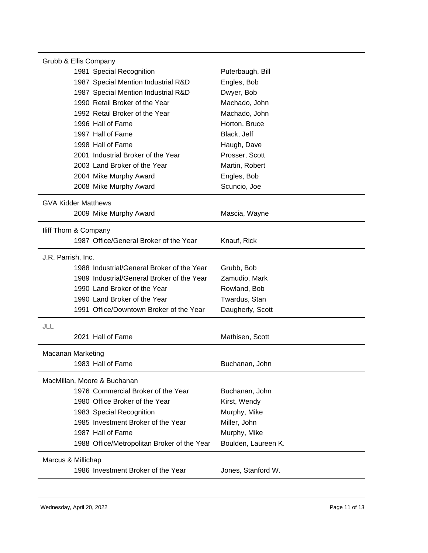| Grubb & Ellis Company                       |                     |  |  |  |
|---------------------------------------------|---------------------|--|--|--|
| 1981 Special Recognition                    | Puterbaugh, Bill    |  |  |  |
| 1987 Special Mention Industrial R&D         | Engles, Bob         |  |  |  |
| 1987 Special Mention Industrial R&D         | Dwyer, Bob          |  |  |  |
| 1990 Retail Broker of the Year              | Machado, John       |  |  |  |
| 1992 Retail Broker of the Year              | Machado, John       |  |  |  |
| 1996 Hall of Fame                           | Horton, Bruce       |  |  |  |
| 1997 Hall of Fame                           | Black, Jeff         |  |  |  |
| 1998 Hall of Fame                           | Haugh, Dave         |  |  |  |
| 2001 Industrial Broker of the Year          | Prosser, Scott      |  |  |  |
| 2003 Land Broker of the Year                | Martin, Robert      |  |  |  |
| 2004 Mike Murphy Award                      | Engles, Bob         |  |  |  |
| 2008 Mike Murphy Award                      | Scuncio, Joe        |  |  |  |
| <b>GVA Kidder Matthews</b>                  |                     |  |  |  |
| 2009 Mike Murphy Award                      | Mascia, Wayne       |  |  |  |
| Iliff Thorn & Company                       |                     |  |  |  |
| 1987 Office/General Broker of the Year      | Knauf, Rick         |  |  |  |
| J.R. Parrish, Inc.                          |                     |  |  |  |
| 1988 Industrial/General Broker of the Year  | Grubb, Bob          |  |  |  |
| 1989 Industrial/General Broker of the Year  | Zamudio, Mark       |  |  |  |
| 1990 Land Broker of the Year                | Rowland, Bob        |  |  |  |
| 1990 Land Broker of the Year                | Twardus, Stan       |  |  |  |
| 1991 Office/Downtown Broker of the Year     | Daugherly, Scott    |  |  |  |
| JLL                                         |                     |  |  |  |
| 2021 Hall of Fame                           | Mathisen, Scott     |  |  |  |
| <b>Macanan Marketing</b>                    |                     |  |  |  |
| 1983 Hall of Fame                           | Buchanan, John      |  |  |  |
| MacMillan, Moore & Buchanan                 |                     |  |  |  |
| 1976 Commercial Broker of the Year          | Buchanan, John      |  |  |  |
| 1980 Office Broker of the Year              | Kirst, Wendy        |  |  |  |
| 1983 Special Recognition                    | Murphy, Mike        |  |  |  |
| 1985 Investment Broker of the Year          | Miller, John        |  |  |  |
| 1987 Hall of Fame                           | Murphy, Mike        |  |  |  |
| 1988 Office/Metropolitan Broker of the Year | Boulden, Laureen K. |  |  |  |
| Marcus & Millichap                          |                     |  |  |  |
| 1986 Investment Broker of the Year          | Jones, Stanford W.  |  |  |  |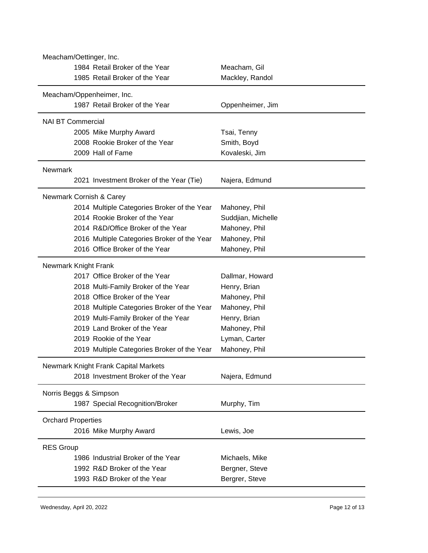| Meacham, Gil<br>1985 Retail Broker of the Year<br>Mackley, Randol<br>Meacham/Oppenheimer, Inc.<br>1987 Retail Broker of the Year<br>Oppenheimer, Jim<br><b>NAI BT Commercial</b><br>2005 Mike Murphy Award<br>Tsai, Tenny<br>2008 Rookie Broker of the Year<br>Smith, Boyd<br>2009 Hall of Fame<br>Kovaleski, Jim<br><b>Newmark</b><br>2021 Investment Broker of the Year (Tie)<br>Najera, Edmund<br>Newmark Cornish & Carey<br>2014 Multiple Categories Broker of the Year<br>Mahoney, Phil<br>2014 Rookie Broker of the Year<br>Suddjian, Michelle<br>2014 R&D/Office Broker of the Year<br>Mahoney, Phil<br>2016 Multiple Categories Broker of the Year<br>Mahoney, Phil<br>2016 Office Broker of the Year<br>Mahoney, Phil<br>Newmark Knight Frank<br>2017 Office Broker of the Year<br>Dallmar, Howard<br>2018 Multi-Family Broker of the Year<br>Henry, Brian<br>2018 Office Broker of the Year<br>Mahoney, Phil<br>2018 Multiple Categories Broker of the Year<br>Mahoney, Phil<br>2019 Multi-Family Broker of the Year<br>Henry, Brian<br>2019 Land Broker of the Year<br>Mahoney, Phil<br>2019 Rookie of the Year<br>Lyman, Carter<br>Mahoney, Phil<br>2019 Multiple Categories Broker of the Year<br>Newmark Knight Frank Capital Markets<br>2018 Investment Broker of the Year<br>Najera, Edmund<br>Norris Beggs & Simpson<br>1987 Special Recognition/Broker<br>Murphy, Tim | Meacham/Oettinger, Inc.        |  |  |  |  |
|-----------------------------------------------------------------------------------------------------------------------------------------------------------------------------------------------------------------------------------------------------------------------------------------------------------------------------------------------------------------------------------------------------------------------------------------------------------------------------------------------------------------------------------------------------------------------------------------------------------------------------------------------------------------------------------------------------------------------------------------------------------------------------------------------------------------------------------------------------------------------------------------------------------------------------------------------------------------------------------------------------------------------------------------------------------------------------------------------------------------------------------------------------------------------------------------------------------------------------------------------------------------------------------------------------------------------------------------------------------------------------------------|--------------------------------|--|--|--|--|
|                                                                                                                                                                                                                                                                                                                                                                                                                                                                                                                                                                                                                                                                                                                                                                                                                                                                                                                                                                                                                                                                                                                                                                                                                                                                                                                                                                                         | 1984 Retail Broker of the Year |  |  |  |  |
|                                                                                                                                                                                                                                                                                                                                                                                                                                                                                                                                                                                                                                                                                                                                                                                                                                                                                                                                                                                                                                                                                                                                                                                                                                                                                                                                                                                         |                                |  |  |  |  |
|                                                                                                                                                                                                                                                                                                                                                                                                                                                                                                                                                                                                                                                                                                                                                                                                                                                                                                                                                                                                                                                                                                                                                                                                                                                                                                                                                                                         |                                |  |  |  |  |
|                                                                                                                                                                                                                                                                                                                                                                                                                                                                                                                                                                                                                                                                                                                                                                                                                                                                                                                                                                                                                                                                                                                                                                                                                                                                                                                                                                                         |                                |  |  |  |  |
|                                                                                                                                                                                                                                                                                                                                                                                                                                                                                                                                                                                                                                                                                                                                                                                                                                                                                                                                                                                                                                                                                                                                                                                                                                                                                                                                                                                         |                                |  |  |  |  |
|                                                                                                                                                                                                                                                                                                                                                                                                                                                                                                                                                                                                                                                                                                                                                                                                                                                                                                                                                                                                                                                                                                                                                                                                                                                                                                                                                                                         |                                |  |  |  |  |
|                                                                                                                                                                                                                                                                                                                                                                                                                                                                                                                                                                                                                                                                                                                                                                                                                                                                                                                                                                                                                                                                                                                                                                                                                                                                                                                                                                                         |                                |  |  |  |  |
|                                                                                                                                                                                                                                                                                                                                                                                                                                                                                                                                                                                                                                                                                                                                                                                                                                                                                                                                                                                                                                                                                                                                                                                                                                                                                                                                                                                         |                                |  |  |  |  |
|                                                                                                                                                                                                                                                                                                                                                                                                                                                                                                                                                                                                                                                                                                                                                                                                                                                                                                                                                                                                                                                                                                                                                                                                                                                                                                                                                                                         |                                |  |  |  |  |
|                                                                                                                                                                                                                                                                                                                                                                                                                                                                                                                                                                                                                                                                                                                                                                                                                                                                                                                                                                                                                                                                                                                                                                                                                                                                                                                                                                                         |                                |  |  |  |  |
|                                                                                                                                                                                                                                                                                                                                                                                                                                                                                                                                                                                                                                                                                                                                                                                                                                                                                                                                                                                                                                                                                                                                                                                                                                                                                                                                                                                         |                                |  |  |  |  |
|                                                                                                                                                                                                                                                                                                                                                                                                                                                                                                                                                                                                                                                                                                                                                                                                                                                                                                                                                                                                                                                                                                                                                                                                                                                                                                                                                                                         |                                |  |  |  |  |
|                                                                                                                                                                                                                                                                                                                                                                                                                                                                                                                                                                                                                                                                                                                                                                                                                                                                                                                                                                                                                                                                                                                                                                                                                                                                                                                                                                                         |                                |  |  |  |  |
|                                                                                                                                                                                                                                                                                                                                                                                                                                                                                                                                                                                                                                                                                                                                                                                                                                                                                                                                                                                                                                                                                                                                                                                                                                                                                                                                                                                         |                                |  |  |  |  |
|                                                                                                                                                                                                                                                                                                                                                                                                                                                                                                                                                                                                                                                                                                                                                                                                                                                                                                                                                                                                                                                                                                                                                                                                                                                                                                                                                                                         |                                |  |  |  |  |
|                                                                                                                                                                                                                                                                                                                                                                                                                                                                                                                                                                                                                                                                                                                                                                                                                                                                                                                                                                                                                                                                                                                                                                                                                                                                                                                                                                                         |                                |  |  |  |  |
|                                                                                                                                                                                                                                                                                                                                                                                                                                                                                                                                                                                                                                                                                                                                                                                                                                                                                                                                                                                                                                                                                                                                                                                                                                                                                                                                                                                         |                                |  |  |  |  |
|                                                                                                                                                                                                                                                                                                                                                                                                                                                                                                                                                                                                                                                                                                                                                                                                                                                                                                                                                                                                                                                                                                                                                                                                                                                                                                                                                                                         |                                |  |  |  |  |
|                                                                                                                                                                                                                                                                                                                                                                                                                                                                                                                                                                                                                                                                                                                                                                                                                                                                                                                                                                                                                                                                                                                                                                                                                                                                                                                                                                                         |                                |  |  |  |  |
|                                                                                                                                                                                                                                                                                                                                                                                                                                                                                                                                                                                                                                                                                                                                                                                                                                                                                                                                                                                                                                                                                                                                                                                                                                                                                                                                                                                         |                                |  |  |  |  |
|                                                                                                                                                                                                                                                                                                                                                                                                                                                                                                                                                                                                                                                                                                                                                                                                                                                                                                                                                                                                                                                                                                                                                                                                                                                                                                                                                                                         |                                |  |  |  |  |
|                                                                                                                                                                                                                                                                                                                                                                                                                                                                                                                                                                                                                                                                                                                                                                                                                                                                                                                                                                                                                                                                                                                                                                                                                                                                                                                                                                                         |                                |  |  |  |  |
|                                                                                                                                                                                                                                                                                                                                                                                                                                                                                                                                                                                                                                                                                                                                                                                                                                                                                                                                                                                                                                                                                                                                                                                                                                                                                                                                                                                         |                                |  |  |  |  |
|                                                                                                                                                                                                                                                                                                                                                                                                                                                                                                                                                                                                                                                                                                                                                                                                                                                                                                                                                                                                                                                                                                                                                                                                                                                                                                                                                                                         |                                |  |  |  |  |
|                                                                                                                                                                                                                                                                                                                                                                                                                                                                                                                                                                                                                                                                                                                                                                                                                                                                                                                                                                                                                                                                                                                                                                                                                                                                                                                                                                                         |                                |  |  |  |  |
|                                                                                                                                                                                                                                                                                                                                                                                                                                                                                                                                                                                                                                                                                                                                                                                                                                                                                                                                                                                                                                                                                                                                                                                                                                                                                                                                                                                         |                                |  |  |  |  |
|                                                                                                                                                                                                                                                                                                                                                                                                                                                                                                                                                                                                                                                                                                                                                                                                                                                                                                                                                                                                                                                                                                                                                                                                                                                                                                                                                                                         |                                |  |  |  |  |
|                                                                                                                                                                                                                                                                                                                                                                                                                                                                                                                                                                                                                                                                                                                                                                                                                                                                                                                                                                                                                                                                                                                                                                                                                                                                                                                                                                                         |                                |  |  |  |  |
|                                                                                                                                                                                                                                                                                                                                                                                                                                                                                                                                                                                                                                                                                                                                                                                                                                                                                                                                                                                                                                                                                                                                                                                                                                                                                                                                                                                         |                                |  |  |  |  |
|                                                                                                                                                                                                                                                                                                                                                                                                                                                                                                                                                                                                                                                                                                                                                                                                                                                                                                                                                                                                                                                                                                                                                                                                                                                                                                                                                                                         | <b>Orchard Properties</b>      |  |  |  |  |
| 2016 Mike Murphy Award<br>Lewis, Joe                                                                                                                                                                                                                                                                                                                                                                                                                                                                                                                                                                                                                                                                                                                                                                                                                                                                                                                                                                                                                                                                                                                                                                                                                                                                                                                                                    |                                |  |  |  |  |
| <b>RES Group</b>                                                                                                                                                                                                                                                                                                                                                                                                                                                                                                                                                                                                                                                                                                                                                                                                                                                                                                                                                                                                                                                                                                                                                                                                                                                                                                                                                                        |                                |  |  |  |  |
| 1986 Industrial Broker of the Year<br>Michaels, Mike                                                                                                                                                                                                                                                                                                                                                                                                                                                                                                                                                                                                                                                                                                                                                                                                                                                                                                                                                                                                                                                                                                                                                                                                                                                                                                                                    |                                |  |  |  |  |
| 1992 R&D Broker of the Year<br>Bergner, Steve                                                                                                                                                                                                                                                                                                                                                                                                                                                                                                                                                                                                                                                                                                                                                                                                                                                                                                                                                                                                                                                                                                                                                                                                                                                                                                                                           |                                |  |  |  |  |
| 1993 R&D Broker of the Year<br>Bergrer, Steve                                                                                                                                                                                                                                                                                                                                                                                                                                                                                                                                                                                                                                                                                                                                                                                                                                                                                                                                                                                                                                                                                                                                                                                                                                                                                                                                           |                                |  |  |  |  |